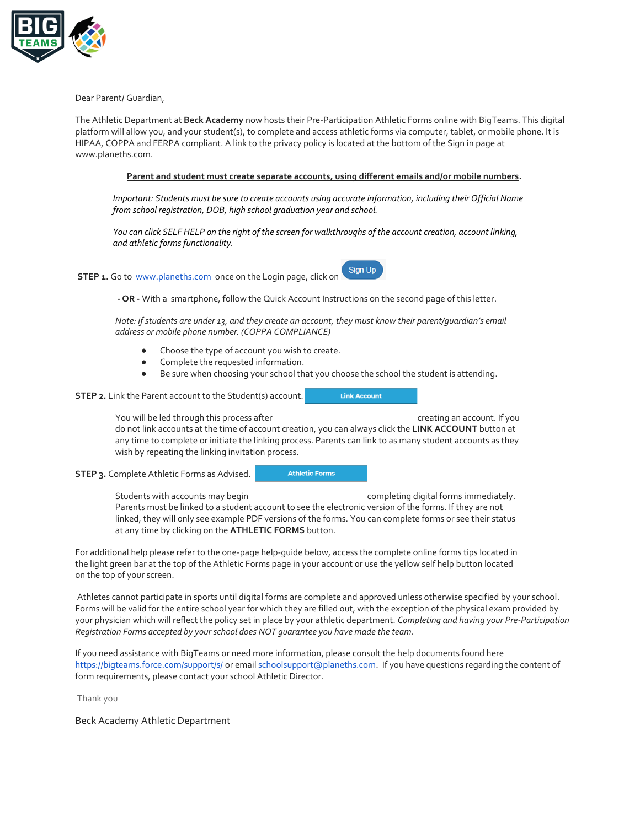

Dear Parent/ Guardian,

The Athletic Department at **Beck Academy** now hosts their Pre-Participation Athletic Forms online with BigTeams. This digital platform will allow you, and your student(s), to complete and access athletic forms via computer, tablet, or mobile phone. It is HIPAA, COPPA and FERPA compliant. A link to the privacy policy is located at the bottom of the Sign in page at www.planeths.com.

## **Parent and student must create separate accounts, using different emails and/or mobile numbers.**

*Important: Students must be sure to create accounts using accurate information, including their Official Name from school registration, DOB, high school graduation year and school.* 

*You can click SELF HELP on the right of the screen for walkthroughs of the account creation, account linking, and athletic forms functionality.*

**STEP 1.** Go to www.planeths.com once on the Login page, click on



*Note: if students are under 13, and they create an account, they must know their parent/guardian's email address or mobile phone number. (COPPA COMPLIANCE)*

- Choose the type of account you wish to create.
- Complete the requested information.
- Be sure when choosing your school that you choose the school the student is attending.

**STEP 2.** Link the Parent account to the Student(s) account.

**Link Account** 

You will be led through this process after creation of the creating an account. If you do not link accounts at the time of account creation, you can always click the **LINK ACCOUNT** button at any time to complete or initiate the linking process. Parents can link to as many student accounts as they wish by repeating the linking invitation process.

**STEP 3.** Complete Athletic Forms as Advised.

**Athletic Forms** 

Students with accounts may begin example the completing digital forms immediately. Parents must be linked to a student account to see the electronic version of the forms. If they are not linked, they will only see example PDF versions of the forms. You can complete forms or see their status at any time by clicking on the **ATHLETIC FORMS** button.

For additional help please refer to the one-page help-guide below, access the complete online forms tips located in the light green bar at the top of the Athletic Forms page in your account or use the yellow self help button located on the top of your screen.

Athletes cannot participate in sports until digital forms are complete and approved unless otherwise specified by your school. Forms will be valid for the entire school year for which they are filled out, with the exception of the physical exam provided by your physician which will reflect the policy set in place by your athletic department. *Completing and having your Pre-Participation Registration Forms accepted by your school does NOT guarantee you have made the team.*

If you need assistance with BigTeams or need more information, please consult the help documents found here https://bigteams.force.com/support/s/ or email schoolsupport@planeths.com. If you have questions regarding the content of form requirements, please contact your school Athletic Director.

Thank you

Beck Academy Athletic Department